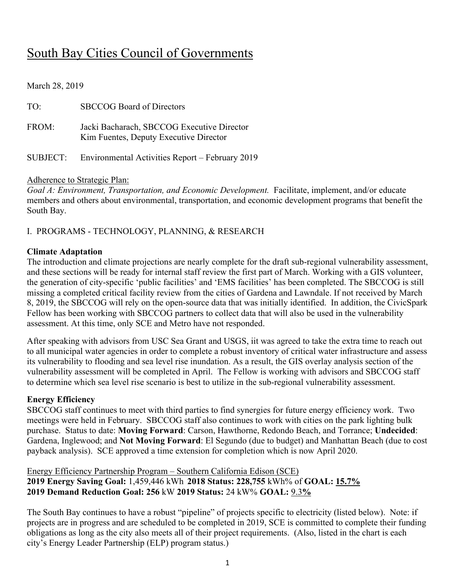# South Bay Cities Council of Governments

March 28, 2019

| TO:      | <b>SBCCOG Board of Directors</b>                                                     |
|----------|--------------------------------------------------------------------------------------|
| FROM:    | Jacki Bacharach, SBCCOG Executive Director<br>Kim Fuentes, Deputy Executive Director |
| SUBJECT: | Environmental Activities Report - February 2019                                      |

#### Adherence to Strategic Plan:

*Goal A: Environment, Transportation, and Economic Development.* Facilitate, implement, and/or educate members and others about environmental, transportation, and economic development programs that benefit the South Bay.

### I. PROGRAMS - TECHNOLOGY, PLANNING, & RESEARCH

#### **Climate Adaptation**

The introduction and climate projections are nearly complete for the draft sub-regional vulnerability assessment, and these sections will be ready for internal staff review the first part of March. Working with a GIS volunteer, the generation of city-specific 'public facilities' and 'EMS facilities' has been completed. The SBCCOG is still missing a completed critical facility review from the cities of Gardena and Lawndale. If not received by March 8, 2019, the SBCCOG will rely on the open-source data that was initially identified. In addition, the CivicSpark Fellow has been working with SBCCOG partners to collect data that will also be used in the vulnerability assessment. At this time, only SCE and Metro have not responded.

After speaking with advisors from USC Sea Grant and USGS, iit was agreed to take the extra time to reach out to all municipal water agencies in order to complete a robust inventory of critical water infrastructure and assess its vulnerability to flooding and sea level rise inundation. As a result, the GIS overlay analysis section of the vulnerability assessment will be completed in April. The Fellow is working with advisors and SBCCOG staff to determine which sea level rise scenario is best to utilize in the sub-regional vulnerability assessment.

#### **Energy Efficiency**

SBCCOG staff continues to meet with third parties to find synergies for future energy efficiency work. Two meetings were held in February. SBCCOG staff also continues to work with cities on the park lighting bulk purchase. Status to date: **Moving Forward**: Carson, Hawthorne, Redondo Beach, and Torrance; **Undecided**: Gardena, Inglewood; and **Not Moving Forward**: El Segundo (due to budget) and Manhattan Beach (due to cost payback analysis). SCE approved a time extension for completion which is now April 2020.

### Energy Efficiency Partnership Program – Southern California Edison (SCE) **2019 Energy Saving Goal:** 1,459,446 kWh **2018 Status: 228,755** kWh% of **GOAL: 15.7% 2019 Demand Reduction Goal: 256** kW **2019 Status:** 24 kW% **GOAL:** 9.3**%**

The South Bay continues to have a robust "pipeline" of projects specific to electricity (listed below). Note: if projects are in progress and are scheduled to be completed in 2019, SCE is committed to complete their funding obligations as long as the city also meets all of their project requirements. (Also, listed in the chart is each city's Energy Leader Partnership (ELP) program status.)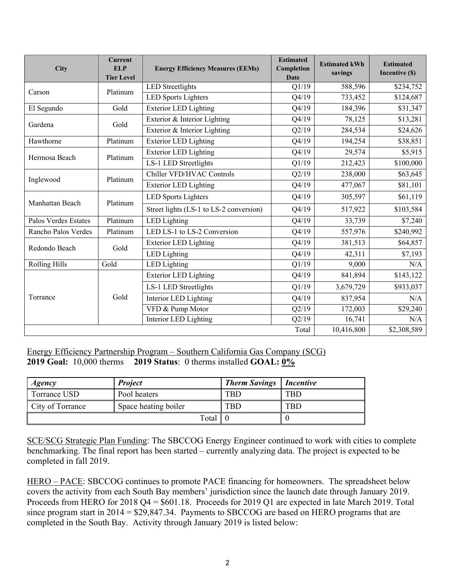| <b>City</b>          | <b>Current</b><br><b>ELP</b><br><b>Tier Level</b> | <b>Energy Efficiency Measures (EEMs)</b> | <b>Estimated</b><br>Completion<br><b>Date</b> | <b>Estimated kWh</b><br>savings | <b>Estimated</b><br>Incentive (\$) |  |
|----------------------|---------------------------------------------------|------------------------------------------|-----------------------------------------------|---------------------------------|------------------------------------|--|
| Carson               | Platinum                                          | <b>LED</b> Streetlights                  | Q1/19                                         | 588,596                         | \$234,752                          |  |
|                      |                                                   | <b>LED Sports Lighters</b>               | Q4/19                                         | 733,452                         | \$124,687                          |  |
| El Segundo           | Gold                                              | <b>Exterior LED Lighting</b>             | Q4/19                                         | 184,396                         | \$31,347                           |  |
| Gardena              | Gold                                              | Exterior & Interior Lighting             | Q4/19                                         | 78,125                          | \$13,281                           |  |
|                      |                                                   | Exterior & Interior Lighting             | Q2/19                                         | 284,534                         | \$24,626                           |  |
| Hawthorne            | Platinum                                          | <b>Exterior LED Lighting</b>             | Q4/19                                         | 194,254                         | \$38,851                           |  |
| Hermosa Beach        | Platinum                                          | <b>Exterior LED Lighting</b>             | Q4/19                                         | 29,574                          | \$5,915                            |  |
|                      |                                                   | LS-1 LED Streetlights                    | Q1/19                                         | 212,423                         | \$100,000                          |  |
|                      |                                                   | Chiller VFD/HVAC Controls                | Q2/19                                         | 238,000                         | \$63,645                           |  |
| Inglewood            | Platinum                                          | <b>Exterior LED Lighting</b>             | Q4/19                                         | 477,067                         | \$81,101                           |  |
|                      | Platinum                                          | <b>LED Sports Lighters</b>               | Q4/19                                         | 305,597                         | \$61,119                           |  |
| Manhattan Beach      |                                                   | Street lights (LS-1 to LS-2 conversion)  | Q4/19                                         | 517,922                         | \$103,584                          |  |
| Palos Verdes Estates | Platinum                                          | LED Lighting                             | Q4/19                                         | 33,739                          | \$7,240                            |  |
| Rancho Palos Verdes  | Platinum                                          | LED LS-1 to LS-2 Conversion              | Q4/19                                         | 557,976                         | \$240,992                          |  |
| Redondo Beach        | Gold                                              | <b>Exterior LED Lighting</b>             | Q4/19                                         | 381,513                         | \$64,857                           |  |
|                      |                                                   | LED Lighting                             | Q4/19                                         | 42,311                          | \$7,193                            |  |
| <b>Rolling Hills</b> | Gold                                              | LED Lighting                             | Q1/19                                         | 9,000                           | N/A                                |  |
|                      |                                                   | <b>Exterior LED Lighting</b>             | Q4/19                                         | 841,894                         | \$143,122                          |  |
| Torrance             |                                                   | LS-1 LED Streetlights                    | Q1/19                                         | 3,679,729                       | \$933,037                          |  |
|                      | Gold                                              | Interior LED Lighting                    | Q4/19                                         | 837,954                         | N/A                                |  |
|                      |                                                   | VFD & Pump Motor                         | Q2/19                                         | 172,003                         | \$29,240                           |  |
|                      |                                                   | Interior LED Lighting                    | Q2/19                                         | 16,741                          | N/A                                |  |
|                      |                                                   |                                          | Total                                         | 10,416,800                      | \$2,308,589                        |  |

Energy Efficiency Partnership Program – Southern California Gas Company (SCG) **2019 Goal:** 10,000 therms **2019 Status**: 0 therms installed **GOAL: 0%**

| Agency           | <b>Project</b>        | <b>Therm Savings</b>   Incentive |            |
|------------------|-----------------------|----------------------------------|------------|
| Torrance USD     | Pool heaters          | <b>TBD</b>                       | <b>TBD</b> |
| City of Torrance | Space heating boiler  | <b>TBD</b>                       | <b>TBD</b> |
|                  | Total $\vert 0 \vert$ |                                  |            |

SCE/SCG Strategic Plan Funding: The SBCCOG Energy Engineer continued to work with cities to complete benchmarking. The final report has been started – currently analyzing data. The project is expected to be completed in fall 2019.

HERO – PACE: SBCCOG continues to promote PACE financing for homeowners. The spreadsheet below covers the activity from each South Bay members' jurisdiction since the launch date through January 2019. Proceeds from HERO for 2018 Q4 = \$601.18. Proceeds for 2019 Q1 are expected in late March 2019. Total since program start in 2014 = \$29,847.34. Payments to SBCCOG are based on HERO programs that are completed in the South Bay. Activity through January 2019 is listed below: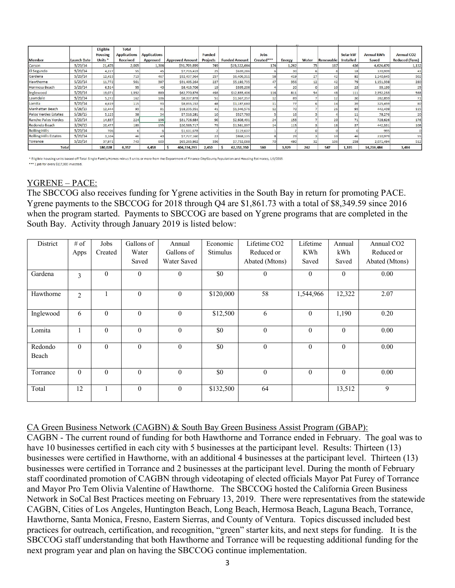|                              |                    | Eligible<br><b>Housing</b> | <b>Total</b><br><b>Applications</b> | <b>Applications</b> |                        | <b>Funded</b>   |                      | <b>Jobs</b>  |               |       |           | Solar kW         | <b>Annual kWh</b> | <b>Annual CO2</b>     |
|------------------------------|--------------------|----------------------------|-------------------------------------|---------------------|------------------------|-----------------|----------------------|--------------|---------------|-------|-----------|------------------|-------------------|-----------------------|
| <b>Member</b>                | <b>Launch Date</b> | Units <sup>*</sup>         | Received                            | <b>Approved</b>     | <b>Approved Amount</b> | <b>Projects</b> | <b>Funded Amount</b> | Created***   | <b>Energy</b> | Water | Renewable | <b>Installed</b> | Saved             | <b>Reduced (Tons)</b> |
| Carson                       | 5/23/14            | 21,478                     | 2.005                               | 1,306               | S91.709.899            | 749             | \$19,322,664         | 174          | 1.262         | 75    | 187       | 436              | 4,624,670         | 1,132                 |
| El Segundo                   | 5/23/14            | 4,227                      | 55                                  | 45                  | \$7,715,419            | 25              | \$639,286            |              | 30            |       |           | 18               | 170,939           | 41                    |
| Gardena                      | 5/23/14            | 12,413                     | 713                                 | 467                 | \$32,437,364           | 257             | \$6,406,311          | 58           | 419           | 27    | 42        | 82               | 1,240,645         | 302                   |
| Hawthorne                    | 5/23/14            | 11,772                     | 561                                 | 397                 | \$31,405,264           | 227             | \$5,192,735          | 47           | 356           | 12    | 42        | 79               | 1,151,338         | 280                   |
| Hermosa Beach                | 5/23/14            | 6,514                      | 55                                  | 40                  | \$8,413,706            | 19              | \$395,206            |              | 20            |       | 10        | 23               | 93,199            | 25                    |
| Inglewood                    | 5/23/14            | 19,071                     | 1,352                               | 889                 | \$62,770,876           | 493             | \$12,855,406         | 116          | 811           | 54    | 48        | 111              | 2,352,233         | 568                   |
| Lawndale                     | 5/23/14            | 5,272                      | 162                                 | 106                 | \$8,337,878            | 51              | \$1,367,357          | 12           | 89            |       | 12        | 30               | 282,859           | 71                    |
| Lomita                       | 5/23/14            | 4,619                      | 115                                 | 93                  | \$8,855,153            | 48              | \$1,187,680          | $\mathbf{1}$ | 77            |       | 14        | 39               | 325,459           | 80                    |
| Manhattan Beach              | 5/28/15            | 12,444                     | 93                                  | 81                  | \$18,235,351           | 41              | \$1,346,576          | 12           | <b>70</b>     |       | 26        | 93               | 442,439           | 115                   |
| Palos Verdes Estates         | 5/28/15            | 5,123                      | 38                                  | 34                  | \$7,516,281            | 10              | \$527,780            |              | 16            |       |           |                  | 78,276            | 20                    |
| Rancho Palos Verdes          | 5/23/14            | 14,837                     | 224                                 | 196                 | \$31,726,684           | 90              | \$2,608,491          | 24           | 153           |       | 20        | 71               | 728,626           | 176                   |
| Redondo Beach                | 3/24/15            | 20,477                     | 189                                 | 155                 | \$20,585,717           | 79              | \$1,561,997          | 14           | 115           |       | 18        | 37               | 442,331           | 108                   |
| <b>Rolling Hills</b>         | 5/23/14            | 706                        |                                     |                     | \$1,631,678            |                 | \$119,637            |              |               |       |           |                  | 995               |                       |
| <b>Rolling Hills Estates</b> | 5/23/14            | 3,104                      | 46                                  | 40                  | \$7,727,160            |                 | \$868,135            |              | 29            |       | 10        | 46               | 210,979           | 55                    |
| Torrance                     | 5/23/14            | 37,971                     | 743                                 | 603                 | \$65,265,862           | 336             | \$7,752,088          | 70           | 480           | 32    | 106       | 258              | 2,071,494         | 512                   |
| <b>Total</b>                 |                    | 180.028                    | 6.357                               | 4.458               | 404.334.293            | 2,450           | 62.151.350           | 560          | 3.929         | 242   | 547       | 1.335            | 14.216.484        | 3.484                 |

\* Eligible housing units based off Total Single Family Homes minus 5 units or more from the Department of Finance City/County Population and Housing Estimates, 1/1/2013. \*\*\* 1 job for every \$117,000 invested

#### YGRENE – PACE:

The SBCCOG also receives funding for Ygrene activities in the South Bay in return for promoting PACE. Ygrene payments to the SBCCOG for 2018 through Q4 are \$1,861.73 with a total of \$8,349.59 since 2016 when the program started. Payments to SBCCOG are based on Ygrene programs that are completed in the South Bay. Activity through January 2019 is listed below:

| District         | $#$ of         | Jobs         | Gallons of   | Annual       | Economic  | Lifetime CO <sub>2</sub> | Lifetime     | Annual   | Annual CO <sub>2</sub> |
|------------------|----------------|--------------|--------------|--------------|-----------|--------------------------|--------------|----------|------------------------|
|                  | Apps           | Created      | Water        | Gallons of   | Stimulus  | Reduced or               | <b>KWh</b>   | kWh      | Reduced or             |
|                  |                |              | Saved        | Water Saved  |           | Abated (Mtons)           | Saved        | Saved    | Abated (Mtons)         |
| Gardena          | $\overline{3}$ | $\mathbf{0}$ | $\theta$     | $\theta$     | \$0       | $\mathbf{0}$             | $\theta$     | $\Omega$ | 0.00                   |
| Hawthorne        | 2              |              | $\mathbf{0}$ | $\theta$     | \$120,000 | 58                       | 1,544,966    | 12,322   | 2.07                   |
| Inglewood        | 6              | $\theta$     | $\theta$     | $\theta$     | \$12,500  | 6                        | $\theta$     | 1,190    | 0.20                   |
| Lomita           |                | $\theta$     | $\theta$     | $\Omega$     | \$0       | $\theta$                 | $\theta$     | $\Omega$ | 0.00                   |
| Redondo<br>Beach | $\theta$       | $\theta$     | $\theta$     | $\theta$     | \$0       | $\mathbf{0}$             | $\Omega$     | $\theta$ | 0.00                   |
| Torrance         | $\mathbf{0}$   | $\theta$     | $\mathbf{0}$ | $\theta$     | \$0       | $\mathbf{0}$             | $\mathbf{0}$ | $\theta$ | 0.00                   |
| Total            | 12             |              | $\mathbf{0}$ | $\mathbf{0}$ | \$132,500 | 64                       |              | 13,512   | 9                      |

CA Green Business Network (CAGBN) & South Bay Green Business Assist Program (GBAP):

CAGBN - The current round of funding for both Hawthorne and Torrance ended in February. The goal was to have 10 businesses certified in each city with 5 businesses at the participant level. Results: Thirteen (13) businesses were certified in Hawthorne, with an additional 4 businesses at the participant level. Thirteen (13) businesses were certified in Torrance and 2 businesses at the participant level. During the month of February staff coordinated promotion of CAGBN through videotaping of elected officials Mayor Pat Furey of Torrance and Mayor Pro Tem Olivia Valentine of Hawthorne. The SBCCOG hosted the California Green Business Network in SoCal Best Practices meeting on February 13, 2019. There were representatives from the statewide CAGBN, Cities of Los Angeles, Huntington Beach, Long Beach, Hermosa Beach, Laguna Beach, Torrance, Hawthorne, Santa Monica, Fresno, Eastern Sierras, and County of Ventura. Topics discussed included best practices for outreach, certification, and recognition, "green" starter kits, and next steps for funding. It is the SBCCOG staff understanding that both Hawthorne and Torrance will be requesting additional funding for the next program year and plan on having the SBCCOG continue implementation.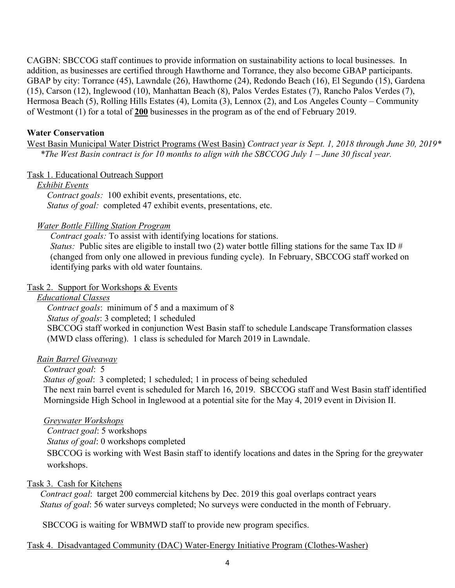CAGBN: SBCCOG staff continues to provide information on sustainability actions to local businesses. In addition, as businesses are certified through Hawthorne and Torrance, they also become GBAP participants. GBAP by city: Torrance (45), Lawndale (26), Hawthorne (24), Redondo Beach (16), El Segundo (15), Gardena (15), Carson (12), Inglewood (10), Manhattan Beach (8), Palos Verdes Estates (7), Rancho Palos Verdes (7), Hermosa Beach (5), Rolling Hills Estates (4), Lomita (3), Lennox (2), and Los Angeles County – Community of Westmont (1) for a total of **200** businesses in the program as of the end of February 2019.

#### **Water Conservation**

West Basin Municipal Water District Programs (West Basin) *Contract year is Sept. 1, 2018 through June 30, 2019\* \*The West Basin contract is for 10 months to align with the SBCCOG July 1 – June 30 fiscal year.* 

#### Task 1. Educational Outreach Support

#### *Exhibit Events*

*Contract goals:* 100 exhibit events, presentations, etc. *Status of goal:* completed 47 exhibit events, presentations, etc.

#### *Water Bottle Filling Station Program*

*Contract goals:* To assist with identifying locations for stations. *Status:* Public sites are eligible to install two (2) water bottle filling stations for the same Tax ID #

(changed from only one allowed in previous funding cycle). In February, SBCCOG staff worked on identifying parks with old water fountains.

#### Task 2. Support for Workshops & Events

*Educational Classes*

*Contract goals*: minimum of 5 and a maximum of 8 *Status of goals*: 3 completed; 1 scheduled SBCCOG staff worked in conjunction West Basin staff to schedule Landscape Transformation classes (MWD class offering). 1 class is scheduled for March 2019 in Lawndale.

#### *Rain Barrel Giveaway*

#### *Contract goal*: 5

*Status of goal*: 3 completed; 1 scheduled; 1 in process of being scheduled The next rain barrel event is scheduled for March 16, 2019. SBCCOG staff and West Basin staff identified Morningside High School in Inglewood at a potential site for the May 4, 2019 event in Division II.

#### *Greywater Workshops*

*Contract goal*: 5 workshops

*Status of goal*: 0 workshops completed

SBCCOG is working with West Basin staff to identify locations and dates in the Spring for the greywater workshops.

#### Task 3. Cash for Kitchens

*Contract goal*: target 200 commercial kitchens by Dec. 2019 this goal overlaps contract years *Status of goal*: 56 water surveys completed; No surveys were conducted in the month of February.

SBCCOG is waiting for WBMWD staff to provide new program specifics.

#### Task 4. Disadvantaged Community (DAC) Water-Energy Initiative Program (Clothes-Washer)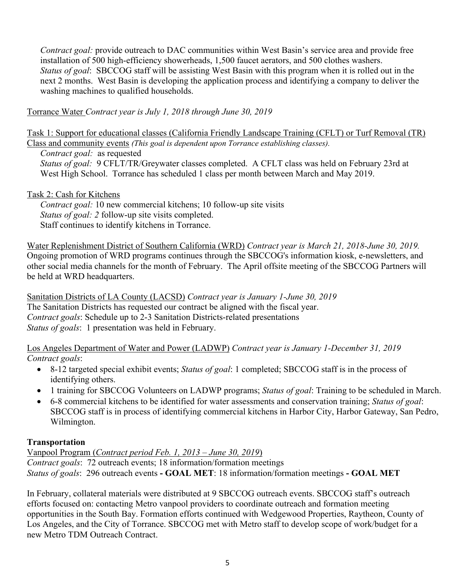*Contract goal:* provide outreach to DAC communities within West Basin's service area and provide free installation of 500 high-efficiency showerheads, 1,500 faucet aerators, and 500 clothes washers. *Status of goal*: SBCCOG staff will be assisting West Basin with this program when it is rolled out in the next 2 months. West Basin is developing the application process and identifying a company to deliver the washing machines to qualified households.

Torrance Water *Contract year is July 1, 2018 through June 30, 2019*

Task 1: Support for educational classes (California Friendly Landscape Training (CFLT) or Turf Removal (TR) Class and community events *(This goal is dependent upon Torrance establishing classes).*

*Contract goal:* as requested

*Status of goal:* 9 CFLT/TR/Greywater classes completed. A CFLT class was held on February 23rd at West High School. Torrance has scheduled 1 class per month between March and May 2019.

#### Task 2: Cash for Kitchens

*Contract goal:* 10 new commercial kitchens; 10 follow-up site visits *Status of goal: 2* follow-up site visits completed. Staff continues to identify kitchens in Torrance.

Water Replenishment District of Southern California (WRD) *Contract year is March 21, 2018-June 30, 2019.*  Ongoing promotion of WRD programs continues through the SBCCOG's information kiosk, e-newsletters, and other social media channels for the month of February. The April offsite meeting of the SBCCOG Partners will be held at WRD headquarters.

Sanitation Districts of LA County (LACSD) *Contract year is January 1-June 30, 2019* The Sanitation Districts has requested our contract be aligned with the fiscal year. *Contract goals*: Schedule up to 2-3 Sanitation Districts-related presentations *Status of goals*: 1 presentation was held in February.

Los Angeles Department of Water and Power (LADWP) *Contract year is January 1-December 31, 2019 Contract goals*:

- 8-12 targeted special exhibit events; *Status of goal*: 1 completed; SBCCOG staff is in the process of identifying others.
- 1 training for SBCCOG Volunteers on LADWP programs; *Status of goal*: Training to be scheduled in March.
- 6-8 commercial kitchens to be identified for water assessments and conservation training; *Status of goal*: SBCCOG staff is in process of identifying commercial kitchens in Harbor City, Harbor Gateway, San Pedro, Wilmington.

#### **Transportation**

Vanpool Program (*Contract period Feb. 1, 2013 – June 30, 2019*) *Contract goals*: 72 outreach events; 18 information/formation meetings *Status of goals*: 296 outreach events **- GOAL MET**: 18 information/formation meetings **- GOAL MET**

In February, collateral materials were distributed at 9 SBCCOG outreach events. SBCCOG staff's outreach efforts focused on: contacting Metro vanpool providers to coordinate outreach and formation meeting opportunities in the South Bay. Formation efforts continued with Wedgewood Properties, Raytheon, County of Los Angeles, and the City of Torrance. SBCCOG met with Metro staff to develop scope of work/budget for a new Metro TDM Outreach Contract.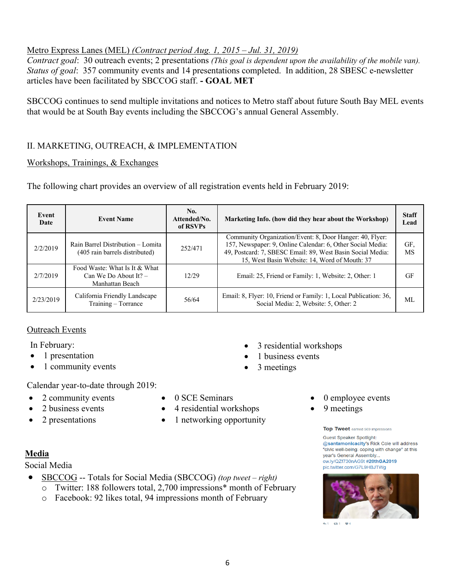## Metro Express Lanes (MEL) *(Contract period Aug. 1, 2015 – Jul. 31, 2019)*

*Contract goal*: 30 outreach events; 2 presentations *(This goal is dependent upon the availability of the mobile van). Status of goal*: 357 community events and 14 presentations completed. In addition, 28 SBESC e-newsletter articles have been facilitated by SBCCOG staff. **- GOAL MET**

SBCCOG continues to send multiple invitations and notices to Metro staff about future South Bay MEL events that would be at South Bay events including the SBCCOG's annual General Assembly.

### II. MARKETING, OUTREACH, & IMPLEMENTATION

#### Workshops, Trainings, & Exchanges

The following chart provides an overview of all registration events held in February 2019:

| Event<br>Date | <b>Event Name</b>                                                           | No.<br>Attended/No.<br>of RSVPs | Marketing Info. (how did they hear about the Workshop)                                                                                                                                                                                |                  |  |  |  |
|---------------|-----------------------------------------------------------------------------|---------------------------------|---------------------------------------------------------------------------------------------------------------------------------------------------------------------------------------------------------------------------------------|------------------|--|--|--|
| 2/2/2019      | Rain Barrel Distribution - Lomita<br>(405 rain barrels distributed)         | 252/471                         | Community Organization/Event: 8, Door Hanger: 40, Flyer:<br>157, Newspaper: 9, Online Calendar: 6, Other Social Media:<br>49, Postcard: 7, SBESC Email: 89, West Basin Social Media:<br>15, West Basin Website: 14, Word of Mouth: 37 | GF.<br><b>MS</b> |  |  |  |
| 2/7/2019      | Food Waste: What Is It & What<br>Can We Do About It? $-$<br>Manhattan Beach | 12/29                           | Email: 25, Friend or Family: 1, Website: 2, Other: 1                                                                                                                                                                                  | GF               |  |  |  |
| 2/23/2019     | California Friendly Landscape<br>Training – Torrance                        | 56/64                           | Email: 8, Flyer: 10, Friend or Family: 1, Local Publication: 36,<br>Social Media: 2, Website: 5, Other: 2                                                                                                                             | МL               |  |  |  |

#### Outreach Events

In February:

- 1 presentation
- 1 community events

Calendar year-to-date through 2019:

- 2 community events
- 2 business events
- 2 presentations
- 0 SCE Seminars
- 4 residential workshops
- 1 networking opportunity
- 0 employee events
- 9 meetings

• 3 residential workshops

1 business events

• 3 meetings

#### Top Tweet earned 569 impressions

**Guest Speaker Spotlight:** @santamonicacity's Rick Cole will address "civic well-being: coping with change" at this vear's General Assembly... ow.ly/QZf730nAG9t #20thGA2019 pic.twitter.com/G7L9HBJTWg



41 131 14

#### **Media**

Social Media

- SBCCOG -- Totals for Social Media (SBCCOG) *(top tweet – right)*
	- o Twitter: 188 followers total, 2,700 impressions\* month of February
	- o Facebook: 92 likes total, 94 impressions month of February